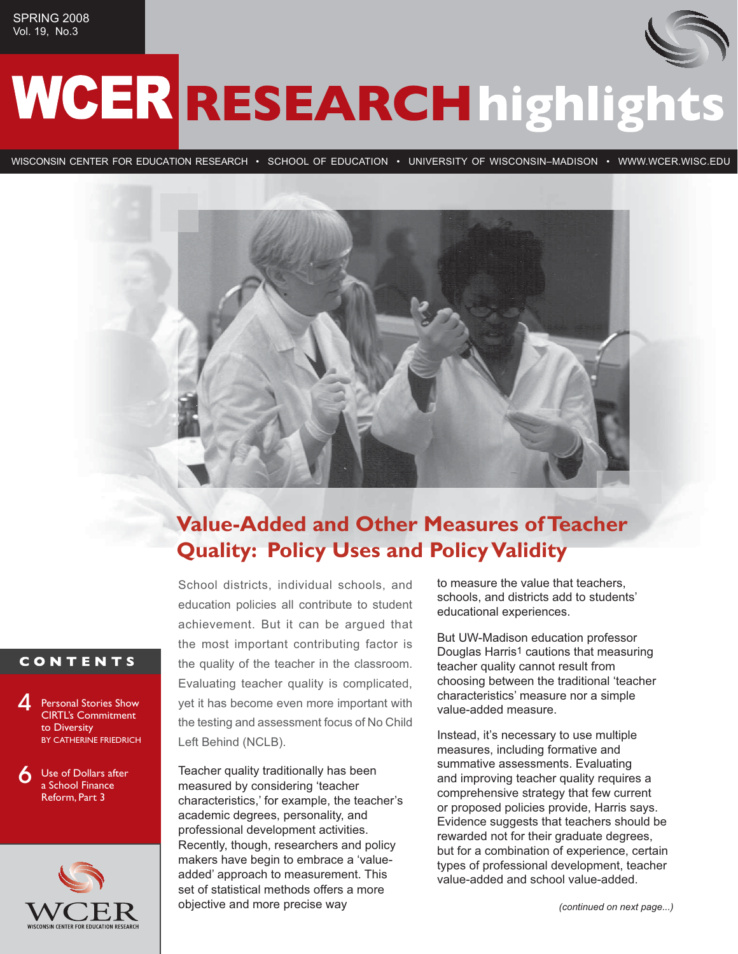# WCER RESEARCH highlights

WISCONSIN CENTER FOR EDUCATION RESEARCH • SCHOOL OF EDUCATION • UNIVERSITY OF WISCONSIN–MADISON • WWW.WCER.WISC.EDU



## **Value-Added and Other Measures of Teacher Quality: Policy Uses and Policy Validity**

School districts, individual schools, and education policies all contribute to student achievement. But it can be argued that the most important contributing factor is the quality of the teacher in the classroom. Evaluating teacher quality is complicated, yet it has become even more important with the testing and assessment focus of No Child Left Behind (NCLB).

Teacher quality traditionally has been measured by considering 'teacher characteristics,' for example, the teacher's academic degrees, personality, and professional development activities. Recently, though, researchers and policy makers have begin to embrace a 'valueadded' approach to measurement. This set of statistical methods offers a more objective and more precise way

to measure the value that teachers, schools, and districts add to students' educational experiences.

But UW-Madison education professor Douglas Harris<sup>1</sup> cautions that measuring teacher quality cannot result from choosing between the traditional 'teacher characteristics' measure nor a simple value-added measure.

Instead, it's necessary to use multiple measures, including formative and summative assessments. Evaluating and improving teacher quality requires a comprehensive strategy that few current or proposed policies provide, Harris says. Evidence suggests that teachers should be rewarded not for their graduate degrees, but for a combination of experience, certain types of professional development, teacher value-added and school value-added.

### **CONTENTS**



6 Use of Dollars after a School Finance Reform, Part 3

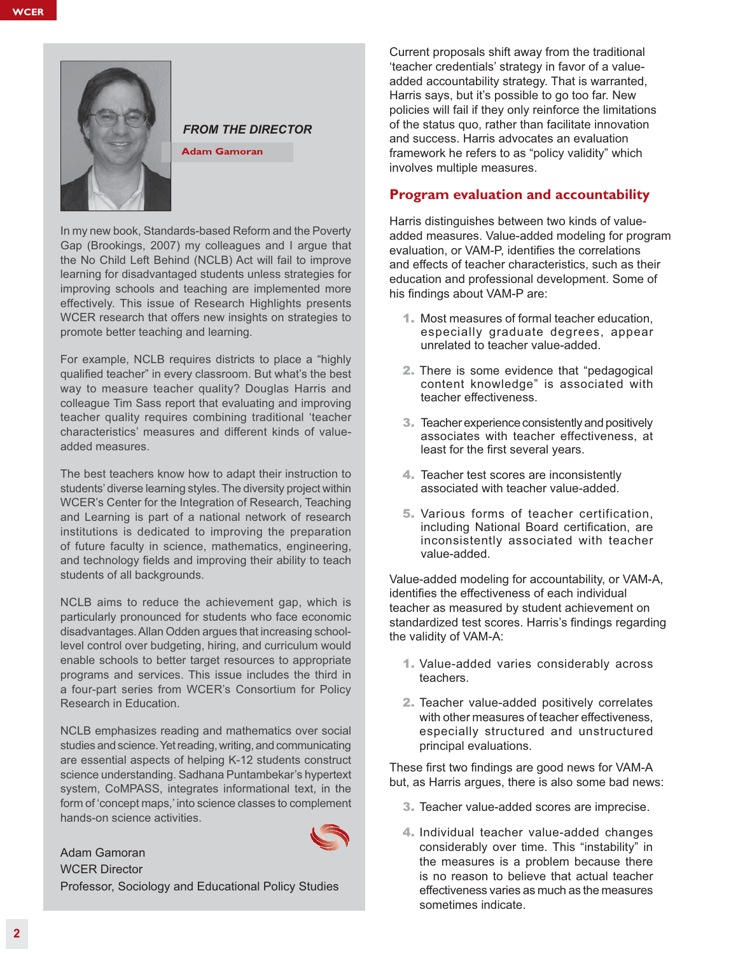

#### *FROM THE DIRECTOR*

**Adam Gamoran**

In my new book, Standards-based Reform and the Poverty Gap (Brookings, 2007) my colleagues and I argue that the No Child Left Behind (NCLB) Act will fail to improve learning for disadvantaged students unless strategies for improving schools and teaching are implemented more effectively. This issue of Research Highlights presents WCER research that offers new insights on strategies to promote better teaching and learning.

For example, NCLB requires districts to place a "highly qualified teacher" in every classroom. But what's the best way to measure teacher quality? Douglas Harris and colleague Tim Sass report that evaluating and improving teacher quality requires combining traditional 'teacher characteristics' measures and different kinds of valueadded measures.

The best teachers know how to adapt their instruction to students' diverse learning styles. The diversity project within WCER's Center for the Integration of Research, Teaching and Learning is part of a national network of research institutions is dedicated to improving the preparation of future faculty in science, mathematics, engineering, and technology fields and improving their ability to teach students of all backgrounds.

NCLB aims to reduce the achievement gap, which is particularly pronounced for students who face economic disadvantages. Allan Odden argues that increasing schoollevel control over budgeting, hiring, and curriculum would enable schools to better target resources to appropriate programs and services. This issue includes the third in a four-part series from WCER's Consortium for Policy Research in Education.

NCLB emphasizes reading and mathematics over social studies and science. Yet reading, writing, and communicating are essential aspects of helping K-12 students construct science understanding. Sadhana Puntambekar's hypertext system, CoMPASS, integrates informational text, in the form of 'concept maps,' into science classes to complement hands-on science activities.

Adam Gamoran WCER Director Professor, Sociology and Educational Policy Studies Current proposals shift away from the traditional 'teacher credentials' strategy in favor of a valueadded accountability strategy. That is warranted, Harris says, but it's possible to go too far. New policies will fail if they only reinforce the limitations of the status quo, rather than facilitate innovation and success. Harris advocates an evaluation framework he refers to as "policy validity" which involves multiple measures.

#### **Program evaluation and accountability**

Harris distinguishes between two kinds of valueadded measures. Value-added modeling for program evaluation, or VAM-P, identifies the correlations and effects of teacher characteristics, such as their education and professional development. Some of his findings about VAM-P are:

- 1. Most measures of formal teacher education, especially graduate degrees, appear unrelated to teacher value-added.
- 2. There is some evidence that "pedagogical content knowledge" is associated with teacher effectiveness.
- 3. Teacher experience consistently and positively associates with teacher effectiveness, at least for the first several years.
- 4. Teacher test scores are inconsistently associated with teacher value-added.
- 5. Various forms of teacher certification, including National Board certification, are inconsistently associated with teacher value-added.

Value-added modeling for accountability, or VAM-A, identifies the effectiveness of each individual teacher as measured by student achievement on standardized test scores. Harris's findings regarding the validity of VAM-A:

- 1. Value-added varies considerably across teachers.
- 2. Teacher value-added positively correlates with other measures of teacher effectiveness. especially structured and unstructured principal evaluations.

These first two findings are good news for VAM-A but, as Harris argues, there is also some bad news:

- 3. Teacher value-added scores are imprecise.
- 4. Individual teacher value-added changes considerably over time. This "instability" in the measures is a problem because there is no reason to believe that actual teacher effectiveness varies as much as the measures sometimes indicate.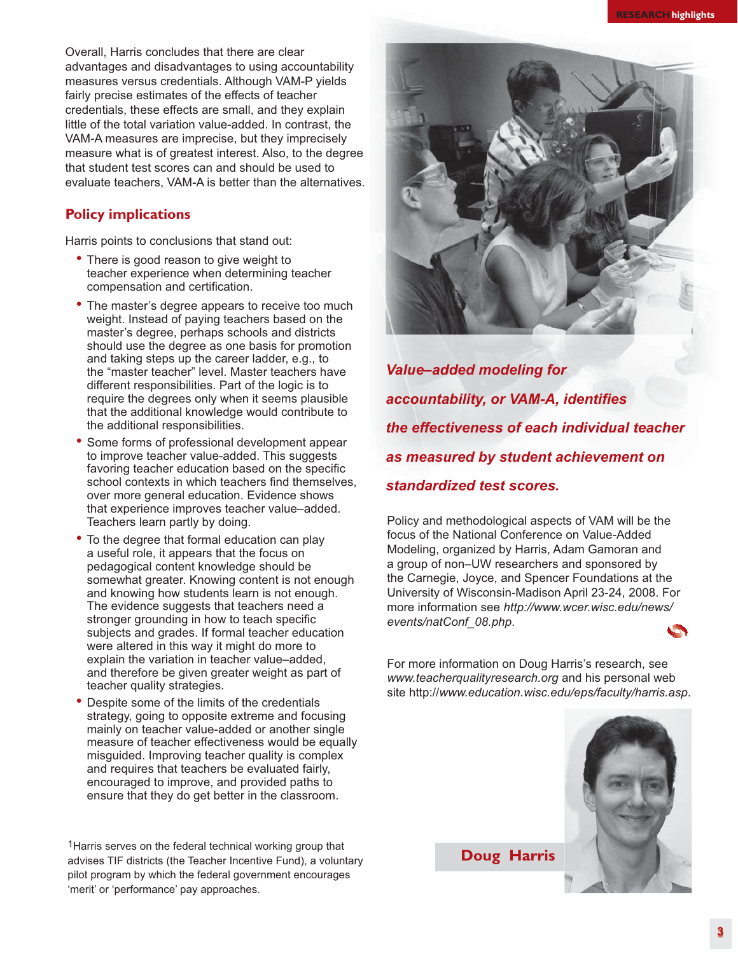Overall, Harris concludes that there are clear advantages and disadvantages to using accountability measures versus credentials. Although VAM-P yields fairly precise estimates of the effects of teacher credentials, these effects are small, and they explain little of the total variation value-added. In contrast, the VAM-A measures are imprecise, but they imprecisely measure what is of greatest interest. Also, to the degree that student test scores can and should be used to evaluate teachers, VAM-A is better than the alternatives

#### **Policy implications**

Harris points to conclusions that stand out:

- There is good reason to give weight to teacher experience when determining teacher compensation and certification.
- The master's degree appears to receive too much weight. Instead of paying teachers based on the master's degree, perhaps schools and districts should use the degree as one basis for promotion and taking steps up the career ladder, e.g., to the "master teacher" level. Master teachers have different responsibilities. Part of the logic is to require the degrees only when it seems plausible that the additional knowledge would contribute to the additional responsibilities.
- Some forms of professional development appear to improve teacher value-added. This suggests favoring teacher education based on the specific school contexts in which teachers find themselves, over more general education. Evidence shows that experience improves teacher value–added. Teachers learn partly by doing.
- To the degree that formal education can play a useful role, it appears that the focus on pedagogical content knowledge should be somewhat greater. Knowing content is not enough and knowing how students learn is not enough. The evidence suggests that teachers need a stronger grounding in how to teach specific subjects and grades. If formal teacher education were altered in this way it might do more to explain the variation in teacher value–added, and therefore be given greater weight as part of teacher quality strategies.
- Despite some of the limits of the credentials strategy, going to opposite extreme and focusing mainly on teacher value-added or another single measure of teacher effectiveness would be equally misguided. Improving teacher quality is complex and requires that teachers be evaluated fairly, encouraged to improve, and provided paths to ensure that they do get better in the classroom.

1Harris serves on the federal technical working group that advises TIF districts (the Teacher Incentive Fund), a voluntary pilot program by which the federal government encourages 'merit' or 'performance' pay approaches.



Value–added modeling for<br>accountability, or VAM-A, identifies<br>the effectiveness of each individual teacher<br>as measured by student achievement on<br>standardized test scores.<br>Policy and methodological aspects of VAM will be th *accountability, or VAM-A, identifies the effectiveness of each individual teacher as measured by student achievement on standardized test scores.* 

Policy and methodological aspects of VAM will be the focus of the National Conference on Value-Added Modeling, organized by Harris, Adam Gamoran and a group of non–UW researchers and sponsored by the Carnegie, Joyce, and Spencer Foundations at the University of Wisconsin-Madison April 23-24, 2008. For more information see *http://www.wcer.wisc.edu/news/ events/natConf\_08.php*.

For more information on Doug Harris's research, see *www.teacherqualityresearch.org* and his personal web site http://*www.education.wisc.edu/eps/faculty/harris.asp*.



**Doug Harris**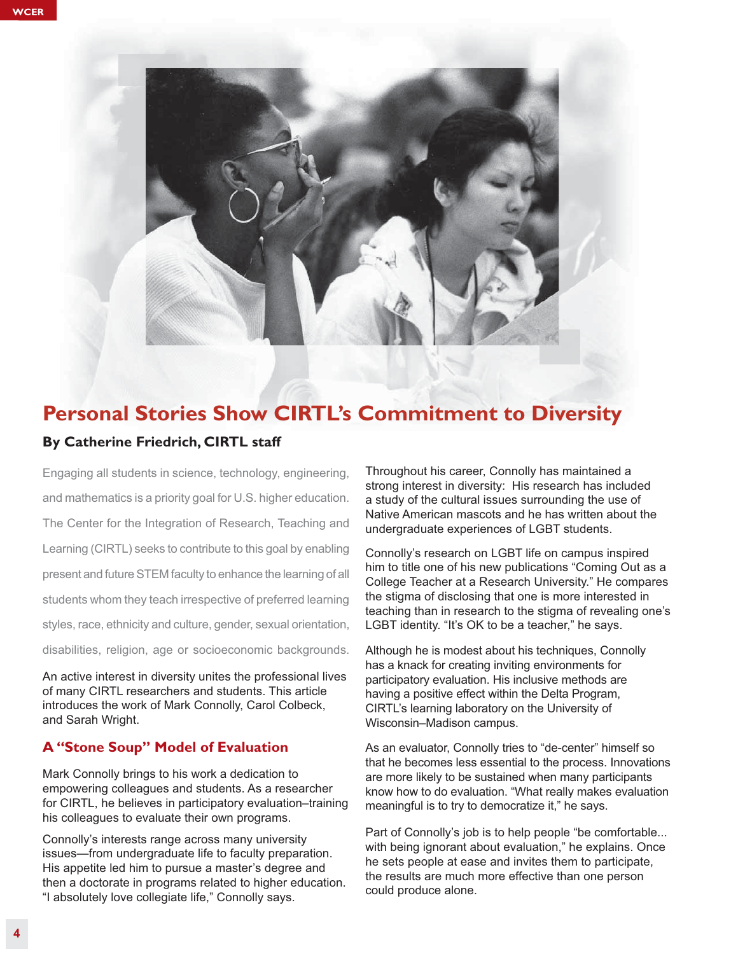

## **Personal Stories Show CIRTL's Commitment to Diversity**

#### **By Catherine Friedrich, CIRTL staff**

Engaging all students in science, technology, engineering, and mathematics is a priority goal for U.S. higher education. The Center for the Integration of Research, Teaching and Learning (CIRTL) seeks to contribute to this goal by enabling present and future STEM faculty to enhance the learning of all students whom they teach irrespective of preferred learning styles, race, ethnicity and culture, gender, sexual orientation, disabilities, religion, age or socioeconomic backgrounds.

An active interest in diversity unites the professional lives of many CIRTL researchers and students. This article introduces the work of Mark Connolly, Carol Colbeck, and Sarah Wright.

#### **A "Stone Soup" Model of Evaluation**

Mark Connolly brings to his work a dedication to empowering colleagues and students. As a researcher for CIRTL, he believes in participatory evaluation–training his colleagues to evaluate their own programs.

Connolly's interests range across many university issues—from undergraduate life to faculty preparation. His appetite led him to pursue a master's degree and then a doctorate in programs related to higher education. "I absolutely love collegiate life," Connolly says.

Throughout his career, Connolly has maintained a strong interest in diversity: His research has included a study of the cultural issues surrounding the use of Native American mascots and he has written about the undergraduate experiences of LGBT students.

Connolly's research on LGBT life on campus inspired him to title one of his new publications "Coming Out as a College Teacher at a Research University." He compares the stigma of disclosing that one is more interested in teaching than in research to the stigma of revealing one's LGBT identity. "It's OK to be a teacher," he says.

Although he is modest about his techniques, Connolly has a knack for creating inviting environments for participatory evaluation. His inclusive methods are having a positive effect within the Delta Program, CIRTL's learning laboratory on the University of Wisconsin–Madison campus.

As an evaluator, Connolly tries to "de-center" himself so that he becomes less essential to the process. Innovations are more likely to be sustained when many participants know how to do evaluation. "What really makes evaluation meaningful is to try to democratize it," he says.

Part of Connolly's job is to help people "be comfortable... with being ignorant about evaluation," he explains. Once he sets people at ease and invites them to participate, the results are much more effective than one person could produce alone.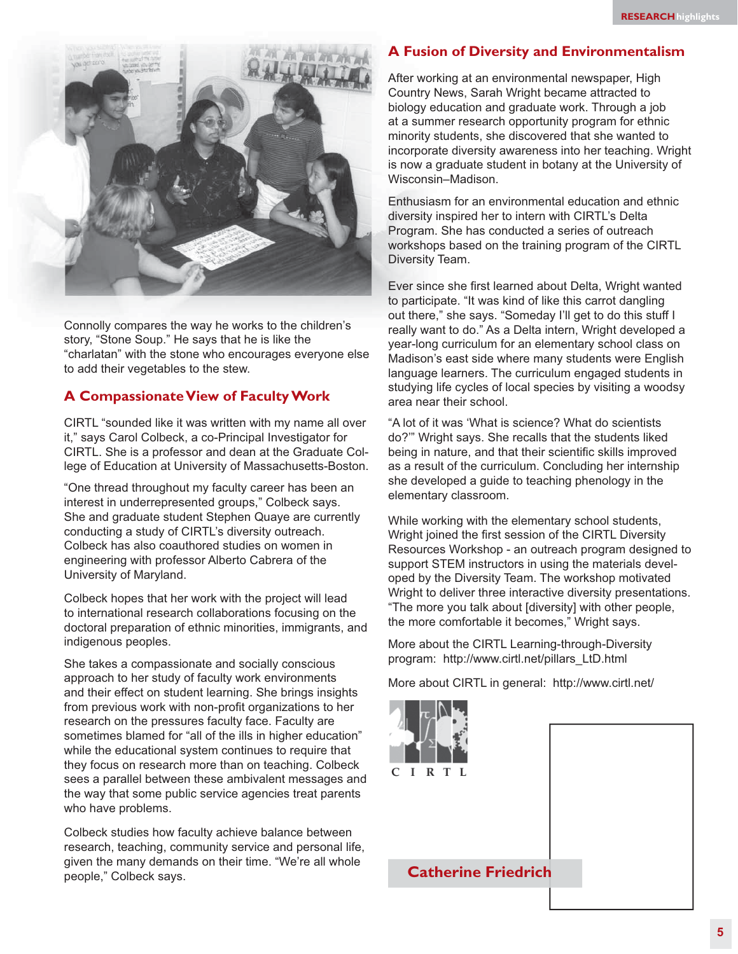

Connolly compares the way he works to the children's story, "Stone Soup." He says that he is like the "charlatan" with the stone who encourages everyone else to add their vegetables to the stew.

#### **A Compassionate View of Faculty Work**

CIRTL "sounded like it was written with my name all over it," says Carol Colbeck, a co-Principal Investigator for CIRTL. She is a professor and dean at the Graduate College of Education at University of Massachusetts-Boston.

"One thread throughout my faculty career has been an interest in underrepresented groups," Colbeck says. She and graduate student Stephen Quaye are currently conducting a study of CIRTL's diversity outreach. Colbeck has also coauthored studies on women in engineering with professor Alberto Cabrera of the University of Maryland.

Colbeck hopes that her work with the project will lead to international research collaborations focusing on the doctoral preparation of ethnic minorities, immigrants, and indigenous peoples.

She takes a compassionate and socially conscious approach to her study of faculty work environments and their effect on student learning. She brings insights from previous work with non-profit organizations to her research on the pressures faculty face. Faculty are sometimes blamed for "all of the ills in higher education" while the educational system continues to require that they focus on research more than on teaching. Colbeck sees a parallel between these ambivalent messages and the way that some public service agencies treat parents who have problems.

Colbeck studies how faculty achieve balance between research, teaching, community service and personal life, given the many demands on their time. "We're all whole people," Colbeck says.

#### **A Fusion of Diversity and Environmentalism**

After working at an environmental newspaper, High Country News, Sarah Wright became attracted to biology education and graduate work. Through a job at a summer research opportunity program for ethnic minority students, she discovered that she wanted to incorporate diversity awareness into her teaching. Wright is now a graduate student in botany at the University of Wisconsin–Madison.

Enthusiasm for an environmental education and ethnic diversity inspired her to intern with CIRTL's Delta Program. She has conducted a series of outreach workshops based on the training program of the CIRTL Diversity Team.

Ever since she first learned about Delta, Wright wanted to participate. "It was kind of like this carrot dangling out there," she says. "Someday I'll get to do this stuff I really want to do." As a Delta intern, Wright developed a year-long curriculum for an elementary school class on Madison's east side where many students were English language learners. The curriculum engaged students in studying life cycles of local species by visiting a woodsy area near their school.

"A lot of it was 'What is science? What do scientists do?'" Wright says. She recalls that the students liked being in nature, and that their scientific skills improved as a result of the curriculum. Concluding her internship she developed a guide to teaching phenology in the elementary classroom.

While working with the elementary school students, Wright joined the first session of the CIRTL Diversity Resources Workshop - an outreach program designed to support STEM instructors in using the materials developed by the Diversity Team. The workshop motivated Wright to deliver three interactive diversity presentations. "The more you talk about [diversity] with other people, the more comfortable it becomes," Wright says.

More about the CIRTL Learning-through-Diversity program: http://www.cirtl.net/pillars\_LtD.html

More about CIRTL in general: http://www.cirtl.net/

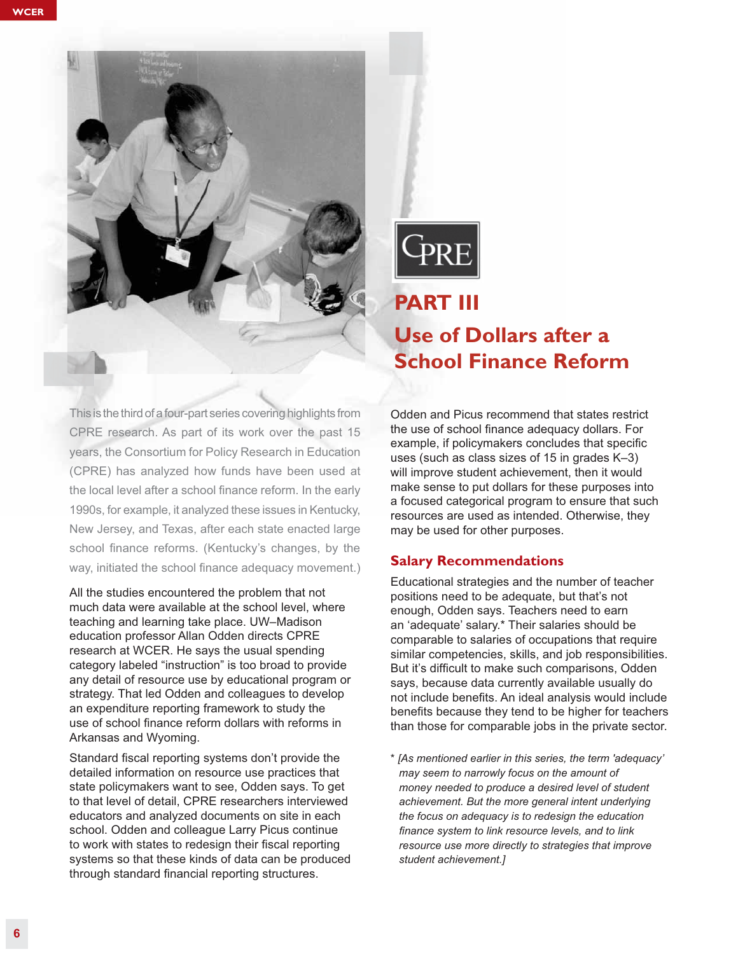



## **PART III**

## **Use of Dollars after a School Finance Reform**

This is the third of a four-part series covering highlights from CPRE research. As part of its work over the past 15 years, the Consortium for Policy Research in Education (CPRE) has analyzed how funds have been used at the local level after a school finance reform. In the early 1990s, for example, it analyzed these issues in Kentucky, New Jersey, and Texas, after each state enacted large school finance reforms. (Kentucky's changes, by the way, initiated the school finance adequacy movement.)

All the studies encountered the problem that not much data were available at the school level, where teaching and learning take place. UW–Madison education professor Allan Odden directs CPRE research at WCER. He says the usual spending category labeled "instruction" is too broad to provide any detail of resource use by educational program or strategy. That led Odden and colleagues to develop an expenditure reporting framework to study the use of school finance reform dollars with reforms in Arkansas and Wyoming.

Standard fiscal reporting systems don't provide the detailed information on resource use practices that state policymakers want to see, Odden says. To get to that level of detail, CPRE researchers interviewed educators and analyzed documents on site in each school. Odden and colleague Larry Picus continue to work with states to redesign their fiscal reporting systems so that these kinds of data can be produced through standard financial reporting structures.

Odden and Picus recommend that states restrict the use of school finance adequacy dollars. For example, if policymakers concludes that specific uses (such as class sizes of 15 in grades K–3) will improve student achievement, then it would make sense to put dollars for these purposes into a focused categorical program to ensure that such resources are used as intended. Otherwise, they may be used for other purposes.

#### **Salary Recommendations**

Educational strategies and the number of teacher positions need to be adequate, but that's not enough, Odden says. Teachers need to earn an 'adequate' salary.\* Their salaries should be comparable to salaries of occupations that require similar competencies, skills, and job responsibilities. But it's difficult to make such comparisons, Odden says, because data currently available usually do not include benefits. An ideal analysis would include benefits because they tend to be higher for teachers than those for comparable jobs in the private sector.

\* *[As mentioned earlier in this series, the term 'adequacy' may seem to narrowly focus on the amount of money needed to produce a desired level of student achievement. But the more general intent underlying the focus on adequacy is to redesign the education finance system to link resource levels, and to link resource use more directly to strategies that improve student achievement.]*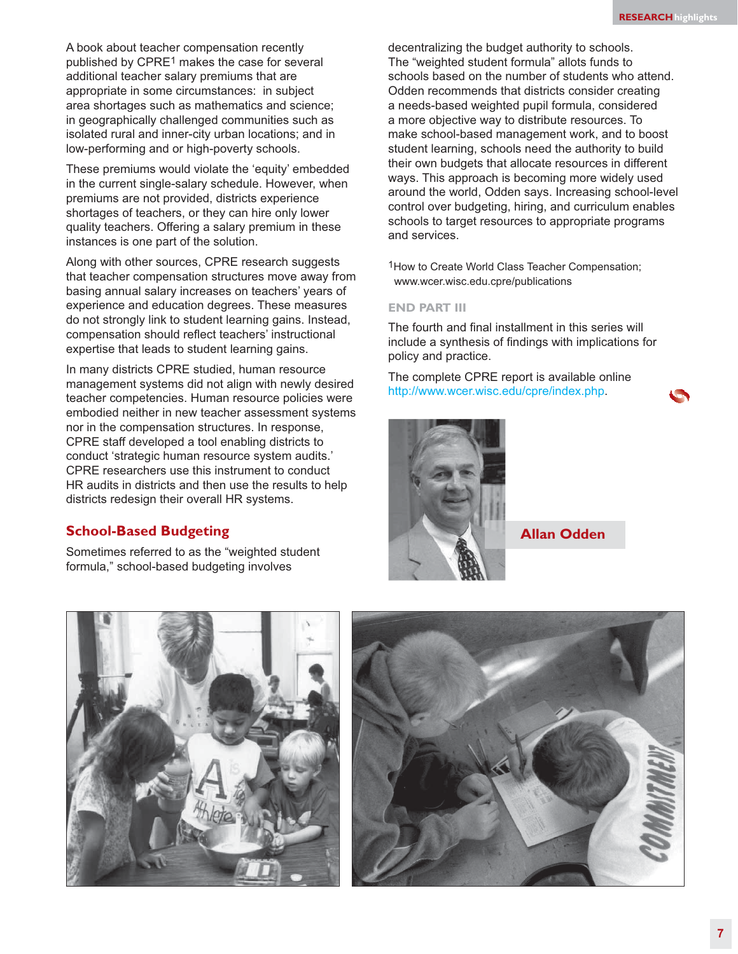A book about teacher compensation recently published by CPRE1 makes the case for several additional teacher salary premiums that are appropriate in some circumstances: in subject area shortages such as mathematics and science; in geographically challenged communities such as isolated rural and inner-city urban locations; and in low-performing and or high-poverty schools.

These premiums would violate the 'equity' embedded in the current single-salary schedule. However, when premiums are not provided, districts experience shortages of teachers, or they can hire only lower quality teachers. Offering a salary premium in these instances is one part of the solution.

Along with other sources, CPRE research suggests that teacher compensation structures move away from basing annual salary increases on teachers' years of experience and education degrees. These measures do not strongly link to student learning gains. Instead, compensation should reflect teachers' instructional expertise that leads to student learning gains.

In many districts CPRE studied, human resource management systems did not align with newly desired teacher competencies. Human resource policies were embodied neither in new teacher assessment systems nor in the compensation structures. In response, CPRE staff developed a tool enabling districts to conduct 'strategic human resource system audits.' CPRE researchers use this instrument to conduct HR audits in districts and then use the results to help districts redesign their overall HR systems.

#### **School-Based Budgeting**

Sometimes referred to as the "weighted student formula," school-based budgeting involves

decentralizing the budget authority to schools. The "weighted student formula" allots funds to schools based on the number of students who attend. Odden recommends that districts consider creating a needs-based weighted pupil formula, considered a more objective way to distribute resources. To make school-based management work, and to boost student learning, schools need the authority to build their own budgets that allocate resources in different ways. This approach is becoming more widely used around the world, Odden says. Increasing school-level control over budgeting, hiring, and curriculum enables schools to target resources to appropriate programs and services.

1How to Create World Class Teacher Compensation; www.wcer.wisc.edu.cpre/publications

#### **END PART III**

The fourth and final installment in this series will include a synthesis of findings with implications for policy and practice.

The complete CPRE report is available online http://www.wcer.wisc.edu/cpre/index.php.



**Allan Odden**